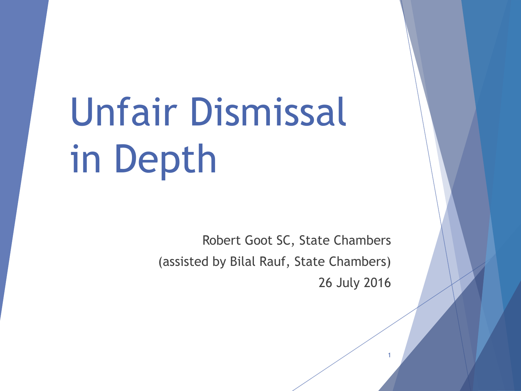# Unfair Dismissal in Depth

Robert Goot SC, State Chambers (assisted by Bilal Rauf, State Chambers) 26 July 2016

1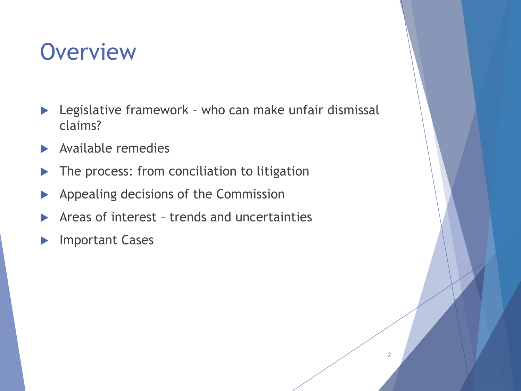#### **Overview**

- ▶ Legislative framework who can make unfair dismissal claims?
- Available remedies
- The process: from conciliation to litigation
- Appealing decisions of the Commission
- Areas of interest trends and uncertainties
- Important Cases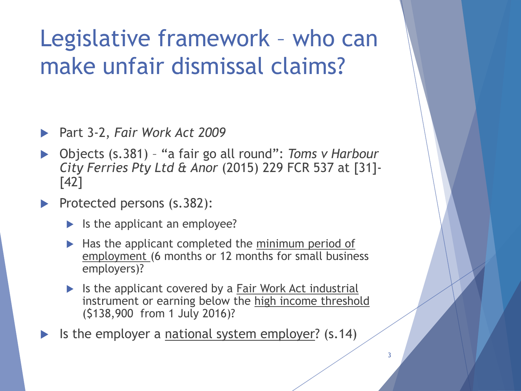# Legislative framework – who can make unfair dismissal claims?

- Part 3-2, *Fair Work Act 2009*
- Objects (s.381) "a fair go all round": *Toms v Harbour City Ferries Pty Ltd & Anor* (2015) 229 FCR 537 at [31]- [42]
- Protected persons (s.382):
	- $\blacktriangleright$  Is the applicant an employee?
	- $\blacktriangleright$  Has the applicant completed the minimum period of employment (6 months or 12 months for small business employers)?
	- If Is the applicant covered by a **Fair Work Act industrial** instrument or earning below the high income threshold (\$138,900 from 1 July 2016)?
- Is the employer a national system employer? (s.14)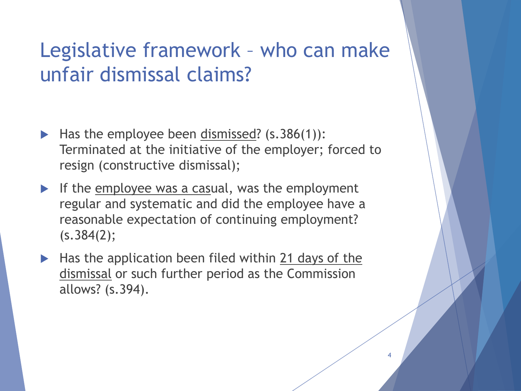#### Legislative framework – who can make unfair dismissal claims?

- $\blacktriangleright$  Has the employee been dismissed? (s.386(1)): Terminated at the initiative of the employer; forced to resign (constructive dismissal);
- If the employee was a casual, was the employment regular and systematic and did the employee have a reasonable expectation of continuing employment? (s.384(2);
- $\blacktriangleright$  Has the application been filed within 21 days of the dismissal or such further period as the Commission allows? (s.394).

4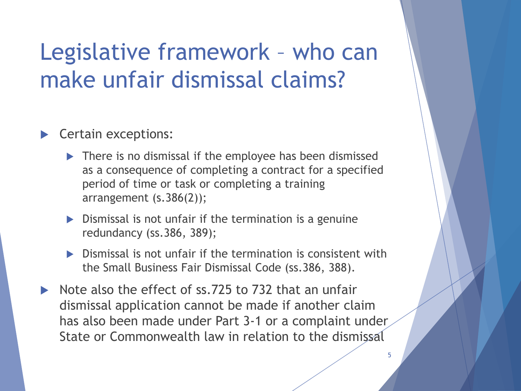# Legislative framework – who can make unfair dismissal claims?

#### Certain exceptions:

- ▶ There is no dismissal if the employee has been dismissed as a consequence of completing a contract for a specified period of time or task or completing a training arrangement (s.386(2));
- $\triangleright$  Dismissal is not unfair if the termination is a genuine redundancy (ss.386, 389);
- Dismissal is not unfair if the termination is consistent with the Small Business Fair Dismissal Code (ss.386, 388).
- Note also the effect of ss.725 to 732 that an unfair dismissal application cannot be made if another claim has also been made under Part 3-1 or a complaint under State or Commonwealth law in relation to the dismissal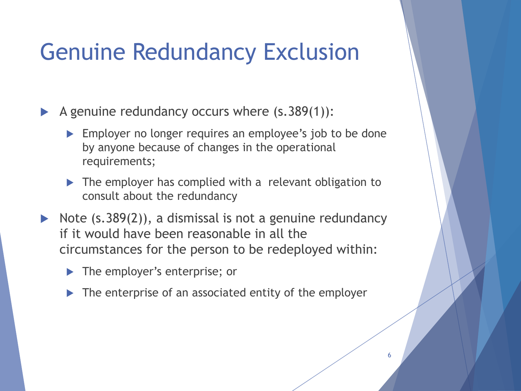# Genuine Redundancy Exclusion

A genuine redundancy occurs where  $(s.389(1))$ :

- **Employer no longer requires an employee's job to be done** by anyone because of changes in the operational requirements;
- The employer has complied with a relevant obligation to consult about the redundancy
- $\triangleright$  Note (s.389(2)), a dismissal is not a genuine redundancy if it would have been reasonable in all the circumstances for the person to be redeployed within:
	- ▶ The employer's enterprise; or
	- $\triangleright$  The enterprise of an associated entity of the employer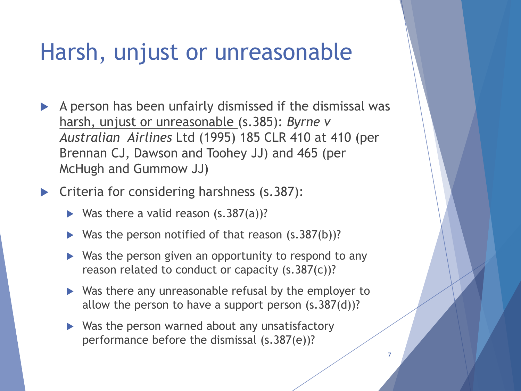#### Harsh, unjust or unreasonable

- A person has been unfairly dismissed if the dismissal was harsh, unjust or unreasonable (s.385): *Byrne v Australian Airlines* Ltd (1995) 185 CLR 410 at 410 (per Brennan CJ, Dawson and Toohey JJ) and 465 (per McHugh and Gummow JJ)
- **Criteria for considering harshness (s.387):** 
	- $\triangleright$  Was there a valid reason (s.387(a))?
	- Was the person notified of that reason (s.387(b))?
	- ▶ Was the person given an opportunity to respond to any reason related to conduct or capacity (s.387(c))?
	- ▶ Was there any unreasonable refusal by the employer to allow the person to have a support person  $(s.387(d))$ ?

7

 $\triangleright$  Was the person warned about any unsatisfactory performance before the dismissal (s.387(e))?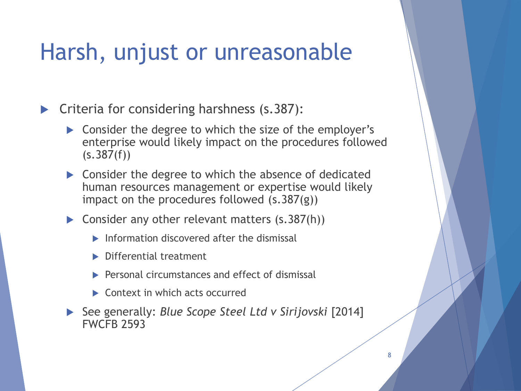#### Harsh, unjust or unreasonable

**Criteria for considering harshness (s.387):** 

- Consider the degree to which the size of the employer's enterprise would likely impact on the procedures followed  $(s.387(f))$
- **Consider the degree to which the absence of dedicated** human resources management or expertise would likely impact on the procedures followed (s.387(g))
- Consider any other relevant matters  $(s.387(h))$ 
	- $\blacktriangleright$  Information discovered after the dismissal
	- **Differential treatment**
	- $\blacktriangleright$  Personal circumstances and effect of dismissal
	- ▶ Context in which acts occurred
- See generally: *Blue Scope Steel Ltd v Sirijovski* [2014] FWCFB 2593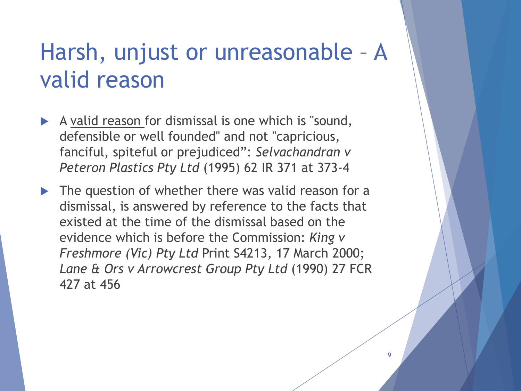# Harsh, unjust or unreasonable – A valid reason

- $\blacktriangleright$  A valid reason for dismissal is one which is "sound, defensible or well founded" and not "capricious, fanciful, spiteful or prejudiced": *Selvachandran v Peteron Plastics Pty Ltd* (1995) 62 IR 371 at 373-4
- $\blacktriangleright$  The question of whether there was valid reason for a dismissal, is answered by reference to the facts that existed at the time of the dismissal based on the evidence which is before the Commission: *King v Freshmore (Vic) Pty Ltd* Print S4213, 17 March 2000; *Lane & Ors v Arrowcrest Group Pty Ltd* (1990) 27 FCR 427 at 456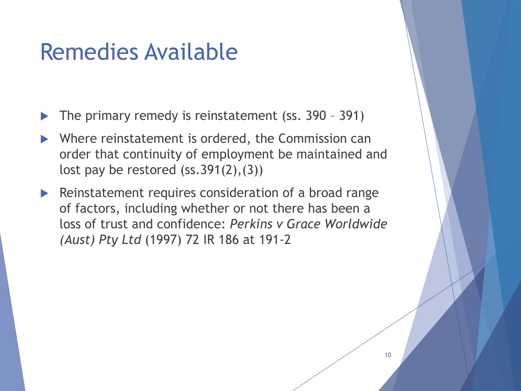#### Remedies Available

The primary remedy is reinstatement (ss. 390 – 391)

- Where reinstatement is ordered, the Commission can order that continuity of employment be maintained and lost pay be restored  $(ss.391(2), (3))$
- $\blacktriangleright$  Reinstatement requires consideration of a broad range of factors, including whether or not there has been a loss of trust and confidence: *Perkins v Grace Worldwide (Aust) Pty Ltd* (1997) 72 IR 186 at 191-2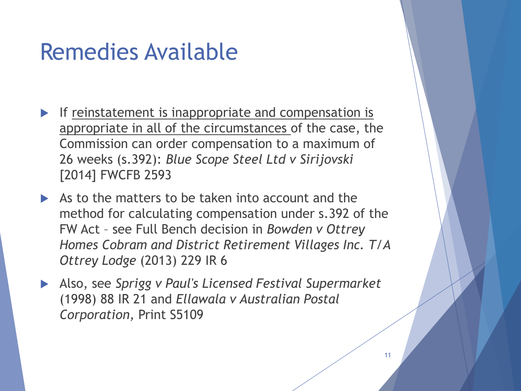#### Remedies Available

- If reinstatement is inappropriate and compensation is appropriate in all of the circumstances of the case, the Commission can order compensation to a maximum of 26 weeks (s.392): *Blue Scope Steel Ltd v Sirijovski* [2014] FWCFB 2593
- As to the matters to be taken into account and the method for calculating compensation under s.392 of the FW Act – see Full Bench decision in *Bowden v Ottrey Homes Cobram and District Retirement Villages Inc. T/A Ottrey Lodge* (2013) 229 IR 6
- Also, see *Sprigg v Paul's Licensed Festival Supermarket*  (1998) 88 IR 21 and *Ellawala v Australian Postal Corporation,* Print S5109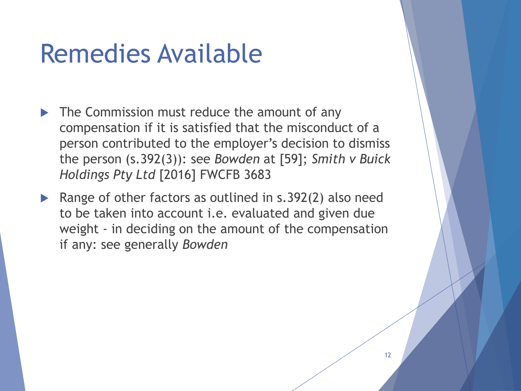# Remedies Available

- The Commission must reduce the amount of any compensation if it is satisfied that the misconduct of a person contributed to the employer's decision to dismiss the person (s.392(3)): see *Bowden* at [59]; *Smith v Buick Holdings Pty Ltd* [2016] FWCFB 3683
- Range of other factors as outlined in s.392(2) also need to be taken into account i.e. evaluated and given due weight - in deciding on the amount of the compensation if any: see generally *Bowden*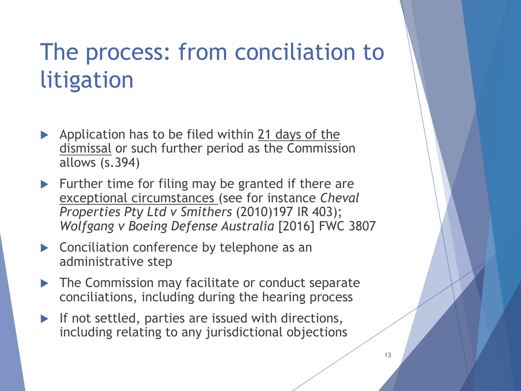# The process: from conciliation to litigation

- Application has to be filed within 21 days of the dismissal or such further period as the Commission allows (s.394)
- $\blacktriangleright$  Further time for filing may be granted if there are exceptional circumstances (see for instance *Cheval Properties Pty Ltd v Smithers* (2010)197 IR 403); *Wolfgang v Boeing Defense Australia* [2016] FWC 3807
- ▶ Conciliation conference by telephone as an administrative step
- **The Commission may facilitate or conduct separate** conciliations, including during the hearing process
- If not settled, parties are issued with directions, including relating to any jurisdictional objections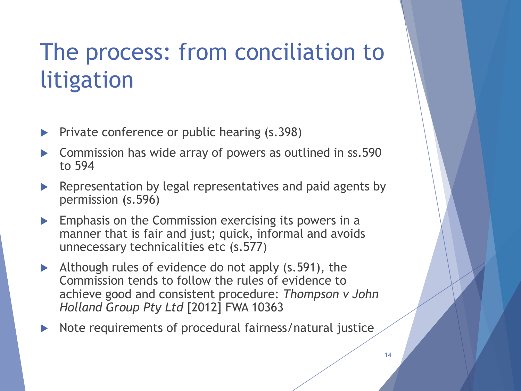# The process: from conciliation to litigation

- Private conference or public hearing (s.398)
- Commission has wide array of powers as outlined in ss.590 to 594
- **EXA** Representation by legal representatives and paid agents by permission (s.596)
- $\blacktriangleright$  Emphasis on the Commission exercising its powers in a manner that is fair and just; quick, informal and avoids unnecessary technicalities etc (s.577)
- Although rules of evidence do not apply (s.591), the Commission tends to follow the rules of evidence to achieve good and consistent procedure: *Thompson v John Holland Group Pty Ltd* [2012] FWA 10363
- Note requirements of procedural fairness/natural justice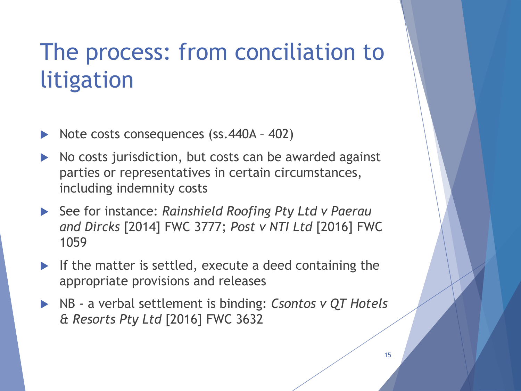# The process: from conciliation to litigation

- Note costs consequences (ss.440A 402)
- $\triangleright$  No costs jurisdiction, but costs can be awarded against parties or representatives in certain circumstances, including indemnity costs
- See for instance: *Rainshield Roofing Pty Ltd v Paerau and Dircks* [2014] FWC 3777; *Post v NTI Ltd* [2016] FWC 1059
- If the matter is settled, execute a deed containing the appropriate provisions and releases
- NB a verbal settlement is binding: *Csontos v QT Hotels & Resorts Pty Ltd* [2016] FWC 3632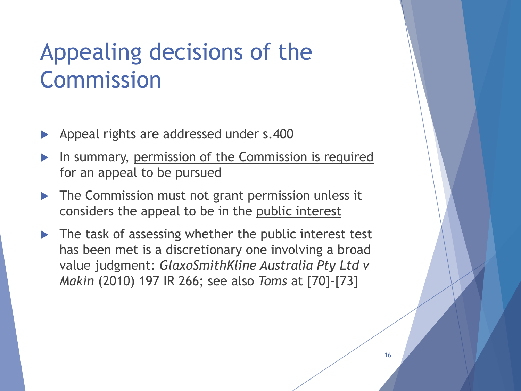# Appealing decisions of the Commission

- Appeal rights are addressed under s.400
- In summary, permission of the Commission is required for an appeal to be pursued
- The Commission must not grant permission unless it considers the appeal to be in the public interest
- $\blacktriangleright$  The task of assessing whether the public interest test has been met is a discretionary one involving a broad value judgment: *GlaxoSmithKline Australia Pty Ltd v Makin* (2010) 197 IR 266; see also *Toms* at [70]-[73]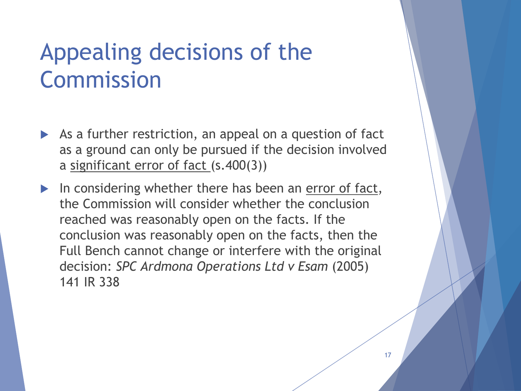# Appealing decisions of the Commission

- As a further restriction, an appeal on a question of fact as a ground can only be pursued if the decision involved a significant error of fact (s.400(3))
- In considering whether there has been an error of fact, the Commission will consider whether the conclusion reached was reasonably open on the facts. If the conclusion was reasonably open on the facts, then the Full Bench cannot change or interfere with the original decision: *SPC Ardmona Operations Ltd v Esam* (2005) 141 IR 338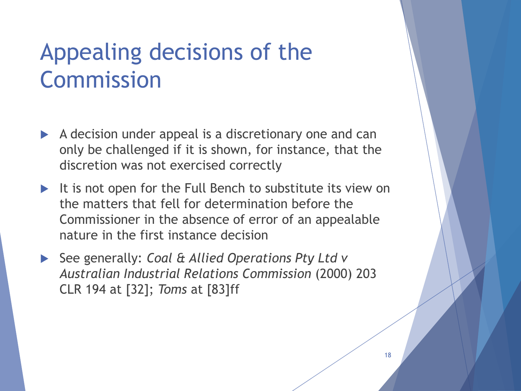# Appealing decisions of the Commission

- $\blacktriangleright$  A decision under appeal is a discretionary one and can only be challenged if it is shown, for instance, that the discretion was not exercised correctly
- It is not open for the Full Bench to substitute its view on the matters that fell for determination before the Commissioner in the absence of error of an appealable nature in the first instance decision
- See generally: *Coal & Allied Operations Pty Ltd v Australian Industrial Relations Commission* (2000) 203 CLR 194 at [32]; *Toms* at [83]ff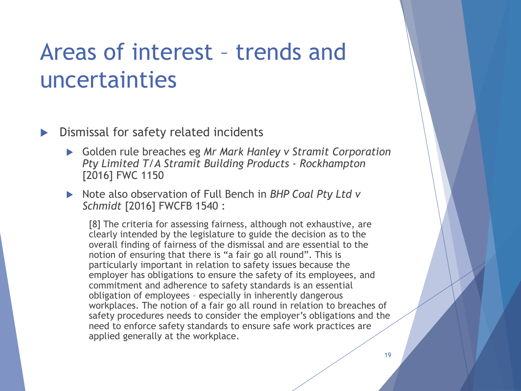#### **Dismissal for safety related incidents**

- Golden rule breaches eg *Mr Mark Hanley v Stramit Corporation Pty Limited T/A Stramit Building Products - Rockhampton* [2016] FWC 1150
- ▶ Note also observation of Full Bench in *BHP Coal Pty Ltd v Schmidt* [2016] FWCFB 1540 :

[8] The criteria for assessing fairness, although not exhaustive, are clearly intended by the legislature to guide the decision as to the overall finding of fairness of the dismissal and are essential to the notion of ensuring that there is "a fair go all round". This is particularly important in relation to safety issues because the employer has obligations to ensure the safety of its employees, and commitment and adherence to safety standards is an essential obligation of employees – especially in inherently dangerous workplaces. The notion of a fair go all round in relation to breaches of safety procedures needs to consider the employer's obligations and the need to enforce safety standards to ensure safe work practices are applied generally at the workplace.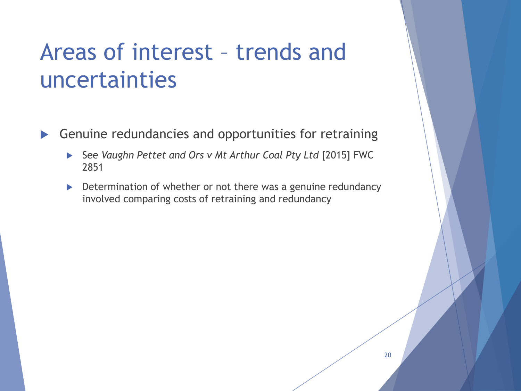- Genuine redundancies and opportunities for retraining
	- See *Vaughn Pettet and Ors v Mt Arthur Coal Pty Ltd* [2015] FWC 2851
	- Determination of whether or not there was a genuine redundancy involved comparing costs of retraining and redundancy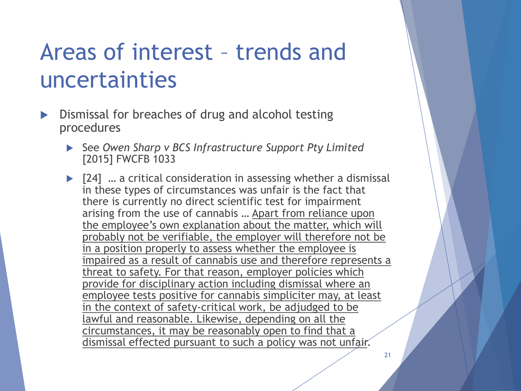- Dismissal for breaches of drug and alcohol testing procedures
	- See *Owen Sharp v BCS Infrastructure Support Pty Limited* [2015] FWCFB 1033
	- ▶ [24] … a critical consideration in assessing whether a dismissal in these types of circumstances was unfair is the fact that there is currently no direct scientific test for impairment arising from the use of cannabis … Apart from reliance upon the employee's own explanation about the matter, which will probably not be verifiable, the employer will therefore not be in a position properly to assess whether the employee is impaired as a result of cannabis use and therefore represents a threat to safety. For that reason, employer policies which provide for disciplinary action including dismissal where an employee tests positive for cannabis simpliciter may, at least in the context of safety-critical work, be adjudged to be lawful and reasonable. Likewise, depending on all the circumstances, it may be reasonably open to find that a dismissal effected pursuant to such a policy was not unfair.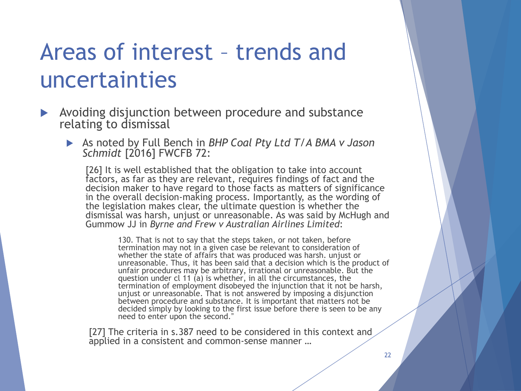- **Avoiding disjunction between procedure and substance** relating to dismissal
	- As noted by Full Bench in *BHP Coal Pty Ltd T/A BMA v Jason Schmidt* [2016] FWCFB 72:

[26] It is well established that the obligation to take into account factors, as far as they are relevant, requires findings of fact and the decision maker to have regard to those facts as matters of significance in the overall decision-making process. Importantly, as the wording of the legislation makes clear, the ultimate question is whether the dismissal was harsh, unjust or unreasonable. As was said by McHugh and Gummow JJ in *Byrne and Frew v Australian Airlines Limited*:

> 130. That is not to say that the steps taken, or not taken, before termination may not in a given case be relevant to consideration of whether the state of affairs that was produced was harsh. unjust or unreasonable. Thus, it has been said that a decision which is the product of unfair procedures may be arbitrary, irrational or unreasonable. But the question under cl 11 (a) is whether, in all the circumstances, the termination of employment disobeyed the injunction that it not be harsh, unjust or unreasonable. That is not answered by imposing a disjunction between procedure and substance. It is important that matters not be decided simply by looking to the first issue before there is seen to be any need to enter upon the second."

[27] The criteria in s.387 need to be considered in this context and applied in a consistent and common-sense manner …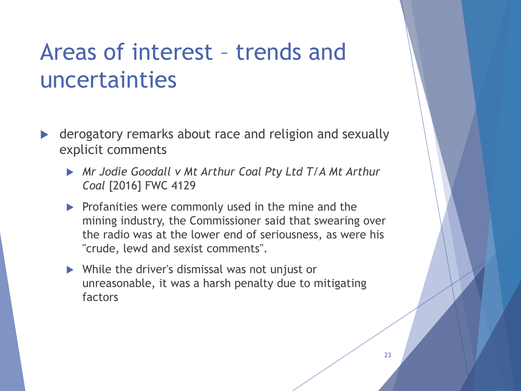- derogatory remarks about race and religion and sexually explicit comments
	- *Mr Jodie Goodall v Mt Arthur Coal Pty Ltd T/A Mt Arthur Coal* [2016] FWC 4129
	- $\triangleright$  Profanities were commonly used in the mine and the mining industry, the Commissioner said that swearing over the radio was at the lower end of seriousness, as were his "crude, lewd and sexist comments".
	- ▶ While the driver's dismissal was not unjust or unreasonable, it was a harsh penalty due to mitigating factors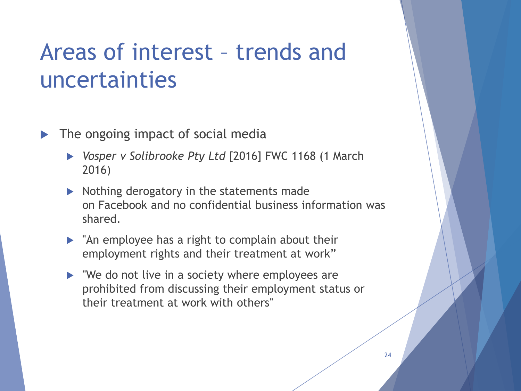- The ongoing impact of social media
	- *Vosper v Solibrooke Pty Ltd* [2016] FWC 1168 (1 March 2016)
	- $\triangleright$  Nothing derogatory in the statements made on Facebook and no confidential business information was shared.
	- $\blacktriangleright$  "An employee has a right to complain about their employment rights and their treatment at work"
	- $\triangleright$  "We do not live in a society where employees are prohibited from discussing their employment status or their treatment at work with others"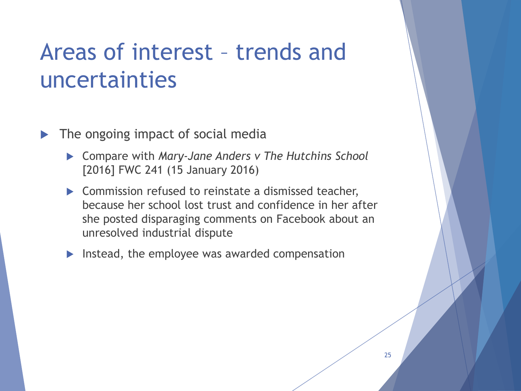- The ongoing impact of social media
	- Compare with *Mary-Jane Anders v The Hutchins School*  [2016] FWC 241 (15 January 2016)
	- ▶ Commission refused to reinstate a dismissed teacher, because her school lost trust and confidence in her after she posted disparaging comments on Facebook about an unresolved industrial dispute
	- Instead, the employee was awarded compensation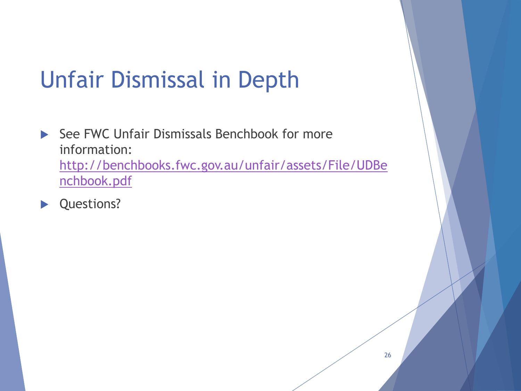# Unfair Dismissal in Depth

- $\triangleright$  See FWC Unfair Dismissals Benchbook for more information: [http://benchbooks.fwc.gov.au/unfair/assets/File/UDBe](http://benchbooks.fwc.gov.au/unfair/assets/File/UDBenchbook.pdf) nchbook.pdf
- ▶ Questions?